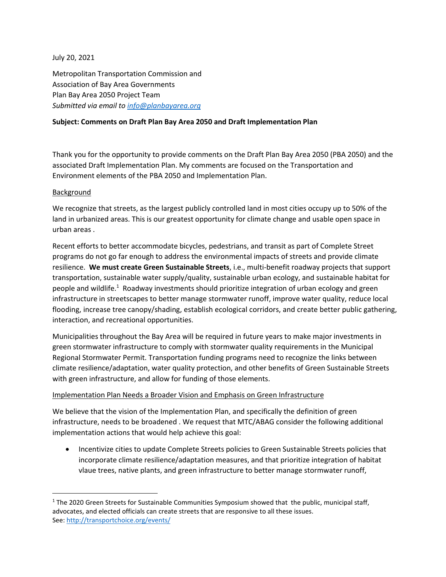## July 20, 2021

Metropolitan Transportation Commission and Association of Bay Area Governments Plan Bay Area 2050 Project Team *Submitted via email to [info@planbayarea.org](mailto:info@planbayarea.org)*

## **Subject: Comments on Draft Plan Bay Area 2050 and Draft Implementation Plan**

Thank you for the opportunity to provide comments on the Draft Plan Bay Area 2050 (PBA 2050) and the associated Draft Implementation Plan. My comments are focused on the Transportation and Environment elements of the PBA 2050 and Implementation Plan.

## Background

We recognize that streets, as the largest publicly controlled land in most cities occupy up to 50% of the land in urbanized areas. This is our greatest opportunity for climate change and usable open space in urban areas .

Recent efforts to better accommodate bicycles, pedestrians, and transit as part of Complete Street programs do not go far enough to address the environmental impacts of streets and provide climate resilience. **We must create Green Sustainable Streets**, i.e., multi-benefit roadway projects that support transportation, sustainable water supply/quality, sustainable urban ecology, and sustainable habitat for people and wildlife.[1](#page-0-0) Roadway investments should prioritize integration of urban ecology and green infrastructure in streetscapes to better manage stormwater runoff, improve water quality, reduce local flooding, increase tree canopy/shading, establish ecological corridors, and create better public gathering, interaction, and recreational opportunities.

Municipalities throughout the Bay Area will be required in future years to make major investments in green stormwater infrastructure to comply with stormwater quality requirements in the Municipal Regional Stormwater Permit. Transportation funding programs need to recognize the links between climate resilience/adaptation, water quality protection, and other benefits of Green Sustainable Streets with green infrastructure, and allow for funding of those elements.

## Implementation Plan Needs a Broader Vision and Emphasis on Green Infrastructure

We believe that the vision of the Implementation Plan, and specifically the definition of green infrastructure, needs to be broadened . We request that MTC/ABAG consider the following additional implementation actions that would help achieve this goal:

 Incentivize cities to update Complete Streets policies to Green Sustainable Streets policies that incorporate climate resilience/adaptation measures, and that prioritize integration of habitat vlaue trees, native plants, and green infrastructure to better manage stormwater runoff,

<span id="page-0-0"></span><sup>&</sup>lt;sup>1</sup> The 2020 Green Streets for Sustainable Communities Symposium showed that the public, municipal staff, advocates, and elected officials can create streets that are responsive to all these issues. See: <http://transportchoice.org/events/>